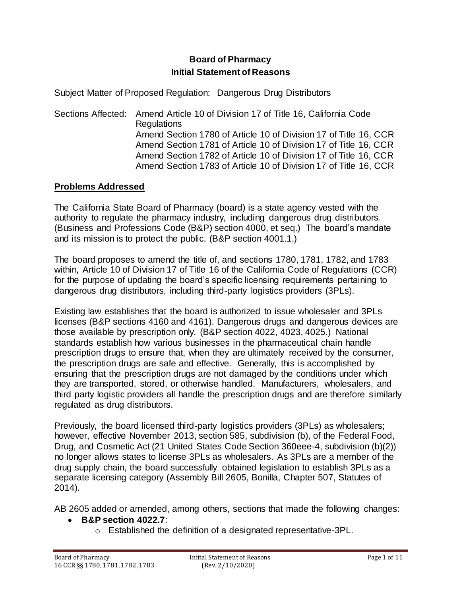# **Board of Pharmacy Initial Statement of Reasons**

Subject Matter of Proposed Regulation: Dangerous Drug Distributors

Sections Affected: Amend Article 10 of Division 17 of Title 16, California Code **Regulations** Amend Section 1780 of Article 10 of Division 17 of Title 16, CCR Amend Section 1781 of Article 10 of Division 17 of Title 16, CCR Amend Section 1782 of Article 10 of Division 17 of Title 16, CCR Amend Section 1783 of Article 10 of Division 17 of Title 16, CCR

#### **Problems Addressed**

The California State Board of Pharmacy (board) is a state agency vested with the authority to regulate the pharmacy industry, including dangerous drug distributors. (Business and Professions Code (B&P) section 4000, et seq.) The board's mandate and its mission is to protect the public. (B&P section 4001.1.)

The board proposes to amend the title of, and sections 1780, 1781, 1782, and 1783 within, Article 10 of Division 17 of Title 16 of the California Code of Regulations (CCR) for the purpose of updating the board's specific licensing requirements pertaining to dangerous drug distributors, including third-party logistics providers (3PLs).

Existing law establishes that the board is authorized to issue wholesaler and 3PLs licenses (B&P sections 4160 and 4161). Dangerous drugs and dangerous devices are those available by prescription only. (B&P section 4022, 4023, 4025.) National standards establish how various businesses in the pharmaceutical chain handle prescription drugs to ensure that, when they are ultimately received by the consumer, the prescription drugs are safe and effective. Generally, this is accomplished by ensuring that the prescription drugs are not damaged by the conditions under which they are transported, stored, or otherwise handled. Manufacturers, wholesalers, and third party logistic providers all handle the prescription drugs and are therefore similarly regulated as drug distributors.

Previously, the board licensed third-party logistics providers (3PLs) as wholesalers; however, effective November 2013, section 585, subdivision (b), of the Federal Food, Drug, and Cosmetic Act (21 United States Code Section 360eee-4, subdivision (b)(2)) no longer allows states to license 3PLs as wholesalers. As 3PLs are a member of the drug supply chain, the board successfully obtained legislation to establish 3PLs as a separate licensing category (Assembly Bill 2605, Bonilla, Chapter 507, Statutes of 2014).

AB 2605 added or amended, among others, sections that made the following changes:

- **B&P section 4022.7**:
	- o Established the definition of a designated representative-3PL.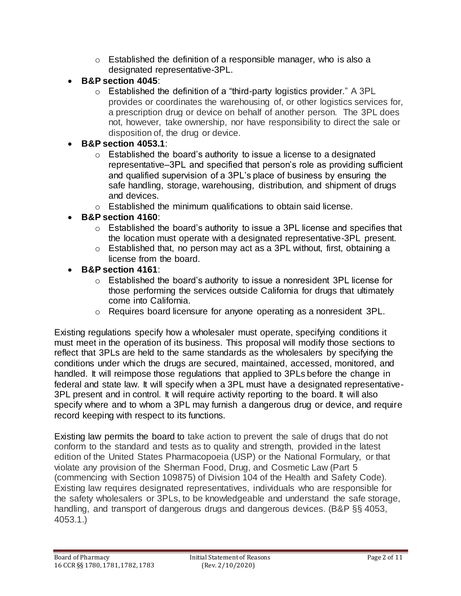- $\circ$  Established the definition of a responsible manager, who is also a designated representative-3PL.
- **B&P section 4045**:
	- o Established the definition of a "third-party logistics provider." A 3PL provides or coordinates the warehousing of, or other logistics services for, a prescription drug or device on behalf of another person. The 3PL does not, however, take ownership, nor have responsibility to direct the sale or disposition of, the drug or device.
- **B&P section 4053.1**:
	- $\circ$  Established the board's authority to issue a license to a designated representative–3PL and specified that person's role as providing sufficient and qualified supervision of a 3PL's place of business by ensuring the safe handling, storage, warehousing, distribution, and shipment of drugs and devices.
	- o Established the minimum qualifications to obtain said license.
- **B&P section 4160**:
	- o Established the board's authority to issue a 3PL license and specifies that the location must operate with a designated representative-3PL present.
	- o Established that, no person may act as a 3PL without, first, obtaining a license from the board.
- **B&P section 4161**:
	- $\circ$  Established the board's authority to issue a nonresident 3PL license for those performing the services outside California for drugs that ultimately come into California.
	- $\circ$  Requires board licensure for anyone operating as a nonresident 3PL.

Existing regulations specify how a wholesaler must operate, specifying conditions it must meet in the operation of its business. This proposal will modify those sections to reflect that 3PLs are held to the same standards as the wholesalers by specifying the conditions under which the drugs are secured, maintained, accessed, monitored, and handled. It will reimpose those regulations that applied to 3PLs before the change in federal and state law. It will specify when a 3PL must have a designated representative-3PL present and in control. It will require activity reporting to the board. It will also specify where and to whom a 3PL may furnish a dangerous drug or device, and require record keeping with respect to its functions.

Existing law permits the board to take action to prevent the sale of drugs that do not conform to the standard and tests as to quality and strength, provided in the latest edition of the United States Pharmacopoeia (USP) or the National Formulary, or that violate any provision of the Sherman Food, Drug, and Cosmetic Law (Part 5 (commencing with Section 109875) of Division 104 of the Health and Safety Code). Existing law requires designated representatives, individuals who are responsible for the safety wholesalers or 3PLs, to be knowledgeable and understand the safe storage, handling, and transport of dangerous drugs and dangerous devices. (B&P §§ 4053, 4053.1.)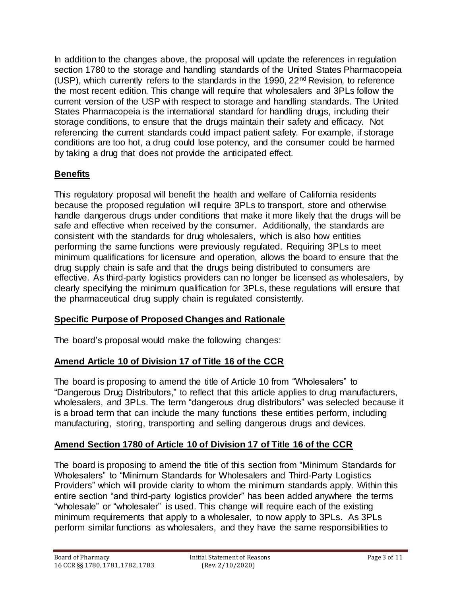In addition to the changes above, the proposal will update the references in regulation section 1780 to the storage and handling standards of the United States Pharmacopeia (USP), which currently refers to the standards in the 1990,  $22<sup>nd</sup>$  Revision, to reference the most recent edition. This change will require that wholesalers and 3PLs follow the current version of the USP with respect to storage and handling standards. The United States Pharmacopeia is the international standard for handling drugs, including their storage conditions, to ensure that the drugs maintain their safety and efficacy. Not referencing the current standards could impact patient safety. For example, if storage conditions are too hot, a drug could lose potency, and the consumer could be harmed by taking a drug that does not provide the anticipated effect.

# **Benefits**

This regulatory proposal will benefit the health and welfare of California residents because the proposed regulation will require 3PLs to transport, store and otherwise handle dangerous drugs under conditions that make it more likely that the drugs will be safe and effective when received by the consumer. Additionally, the standards are consistent with the standards for drug wholesalers, which is also how entities performing the same functions were previously regulated. Requiring 3PLs to meet minimum qualifications for licensure and operation, allows the board to ensure that the drug supply chain is safe and that the drugs being distributed to consumers are effective. As third-party logistics providers can no longer be licensed as wholesalers, by clearly specifying the minimum qualification for 3PLs, these regulations will ensure that the pharmaceutical drug supply chain is regulated consistently.

# **Specific Purpose of Proposed Changes and Rationale**

The board's proposal would make the following changes:

# **Amend Article 10 of Division 17 of Title 16 of the CCR**

The board is proposing to amend the title of Article 10 from "Wholesalers" to "Dangerous Drug Distributors," to reflect that this article applies to drug manufacturers, wholesalers, and 3PLs. The term "dangerous drug distributors" was selected because it is a broad term that can include the many functions these entities perform, including manufacturing, storing, transporting and selling dangerous drugs and devices.

# **Amend Section 1780 of Article 10 of Division 17 of Title 16 of the CCR**

The board is proposing to amend the title of this section from "Minimum Standards for Wholesalers" to "Minimum Standards for Wholesalers and Third-Party Logistics Providers" which will provide clarity to whom the minimum standards apply. Within this entire section "and third-party logistics provider" has been added anywhere the terms "wholesale" or "wholesaler" is used. This change will require each of the existing minimum requirements that apply to a wholesaler, to now apply to 3PLs. As 3PLs perform similar functions as wholesalers, and they have the same responsibilities to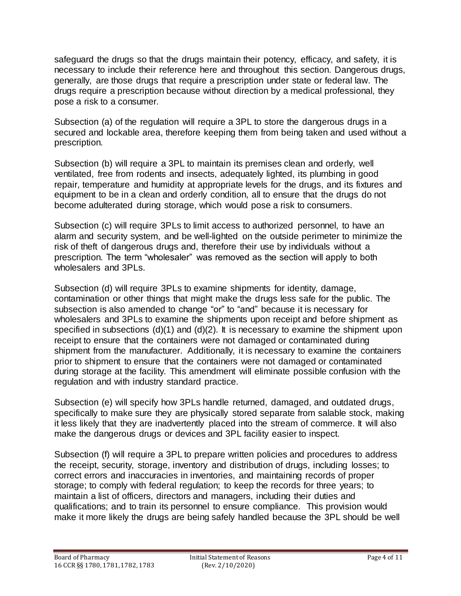safeguard the drugs so that the drugs maintain their potency, efficacy, and safety, it is necessary to include their reference here and throughout this section. Dangerous drugs, generally, are those drugs that require a prescription under state or federal law. The drugs require a prescription because without direction by a medical professional, they pose a risk to a consumer.

Subsection (a) of the regulation will require a 3PL to store the dangerous drugs in a secured and lockable area, therefore keeping them from being taken and used without a prescription.

Subsection (b) will require a 3PL to maintain its premises clean and orderly, well ventilated, free from rodents and insects, adequately lighted, its plumbing in good repair, temperature and humidity at appropriate levels for the drugs, and its fixtures and equipment to be in a clean and orderly condition, all to ensure that the drugs do not become adulterated during storage, which would pose a risk to consumers.

Subsection (c) will require 3PLs to limit access to authorized personnel, to have an alarm and security system, and be well-lighted on the outside perimeter to minimize the risk of theft of dangerous drugs and, therefore their use by individuals without a prescription. The term "wholesaler" was removed as the section will apply to both wholesalers and 3PLs.

Subsection (d) will require 3PLs to examine shipments for identity, damage, contamination or other things that might make the drugs less safe for the public. The subsection is also amended to change "or" to "and" because it is necessary for wholesalers and 3PLs to examine the shipments upon receipt and before shipment as specified in subsections  $(d)(1)$  and  $(d)(2)$ . It is necessary to examine the shipment upon receipt to ensure that the containers were not damaged or contaminated during shipment from the manufacturer. Additionally, it is necessary to examine the containers prior to shipment to ensure that the containers were not damaged or contaminated during storage at the facility. This amendment will eliminate possible confusion with the regulation and with industry standard practice.

Subsection (e) will specify how 3PLs handle returned, damaged, and outdated drugs, specifically to make sure they are physically stored separate from salable stock, making it less likely that they are inadvertently placed into the stream of commerce. It will also make the dangerous drugs or devices and 3PL facility easier to inspect.

Subsection (f) will require a 3PL to prepare written policies and procedures to address the receipt, security, storage, inventory and distribution of drugs, including losses; to correct errors and inaccuracies in inventories, and maintaining records of proper storage; to comply with federal regulation; to keep the records for three years; to maintain a list of officers, directors and managers, including their duties and qualifications; and to train its personnel to ensure compliance. This provision would make it more likely the drugs are being safely handled because the 3PL should be well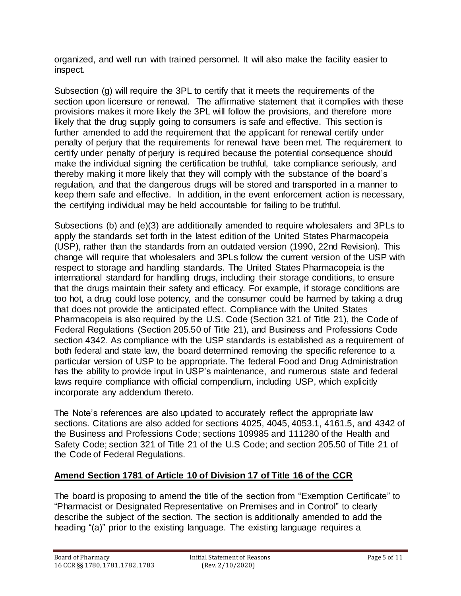organized, and well run with trained personnel. It will also make the facility easier to inspect.

Subsection (g) will require the 3PL to certify that it meets the requirements of the section upon licensure or renewal. The affirmative statement that it complies with these provisions makes it more likely the 3PL will follow the provisions, and therefore more likely that the drug supply going to consumers is safe and effective. This section is further amended to add the requirement that the applicant for renewal certify under penalty of perjury that the requirements for renewal have been met. The requirement to certify under penalty of perjury is required because the potential consequence should make the individual signing the certification be truthful, take compliance seriously, and thereby making it more likely that they will comply with the substance of the board's regulation, and that the dangerous drugs will be stored and transported in a manner to keep them safe and effective. In addition, in the event enforcement action is necessary, the certifying individual may be held accountable for failing to be truthful.

Subsections (b) and (e)(3) are additionally amended to require wholesalers and 3PLs to apply the standards set forth in the latest edition of the United States Pharmacopeia (USP), rather than the standards from an outdated version (1990, 22nd Revision). This change will require that wholesalers and 3PLs follow the current version of the USP with respect to storage and handling standards. The United States Pharmacopeia is the international standard for handling drugs, including their storage conditions, to ensure that the drugs maintain their safety and efficacy. For example, if storage conditions are too hot, a drug could lose potency, and the consumer could be harmed by taking a drug that does not provide the anticipated effect. Compliance with the United States Pharmacopeia is also required by the U.S. Code (Section 321 of Title 21), the Code of Federal Regulations (Section 205.50 of Title 21), and Business and Professions Code section 4342. As compliance with the USP standards is established as a requirement of both federal and state law, the board determined removing the specific reference to a particular version of USP to be appropriate. The federal Food and Drug Administration has the ability to provide input in USP's maintenance, and numerous state and federal laws require compliance with official compendium, including USP, which explicitly incorporate any addendum thereto.

The Note's references are also updated to accurately reflect the appropriate law sections. Citations are also added for sections 4025, 4045, 4053.1, 4161.5, and 4342 of the Business and Professions Code; sections 109985 and 111280 of the Health and Safety Code; section 321 of Title 21 of the U.S Code; and section 205.50 of Title 21 of the Code of Federal Regulations.

# **Amend Section 1781 of Article 10 of Division 17 of Title 16 of the CCR**

The board is proposing to amend the title of the section from "Exemption Certificate" to "Pharmacist or Designated Representative on Premises and in Control" to clearly describe the subject of the section. The section is additionally amended to add the heading "(a)" prior to the existing language. The existing language requires a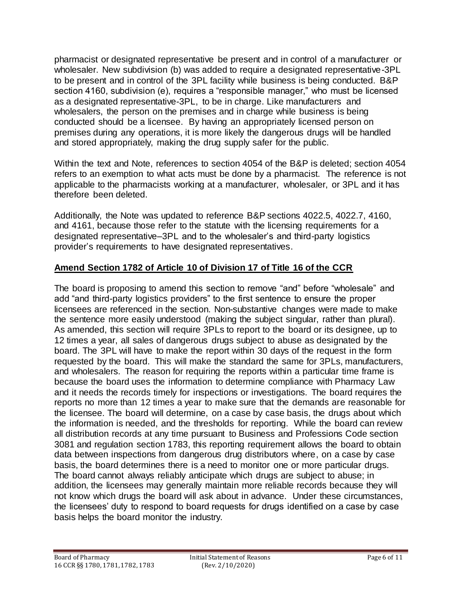pharmacist or designated representative be present and in control of a manufacturer or wholesaler. New subdivision (b) was added to require a designated representative-3PL to be present and in control of the 3PL facility while business is being conducted. B&P section 4160, subdivision (e), requires a "responsible manager," who must be licensed as a designated representative-3PL, to be in charge. Like manufacturers and wholesalers, the person on the premises and in charge while business is being conducted should be a licensee. By having an appropriately licensed person on premises during any operations, it is more likely the dangerous drugs will be handled and stored appropriately, making the drug supply safer for the public.

Within the text and Note, references to section 4054 of the B&P is deleted; section 4054 refers to an exemption to what acts must be done by a pharmacist. The reference is not applicable to the pharmacists working at a manufacturer, wholesaler, or 3PL and it has therefore been deleted.

Additionally, the Note was updated to reference B&P sections 4022.5, 4022.7, 4160, and 4161, because those refer to the statute with the licensing requirements for a designated representative–3PL and to the wholesaler's and third-party logistics provider's requirements to have designated representatives.

# **Amend Section 1782 of Article 10 of Division 17 of Title 16 of the CCR**

The board is proposing to amend this section to remove "and" before "wholesale" and add "and third-party logistics providers" to the first sentence to ensure the proper licensees are referenced in the section. Non-substantive changes were made to make the sentence more easily understood (making the subject singular, rather than plural). As amended, this section will require 3PLs to report to the board or its designee, up to 12 times a year, all sales of dangerous drugs subject to abuse as designated by the board. The 3PL will have to make the report within 30 days of the request in the form requested by the board. This will make the standard the same for 3PLs, manufacturers, and wholesalers. The reason for requiring the reports within a particular time frame is because the board uses the information to determine compliance with Pharmacy Law and it needs the records timely for inspections or investigations. The board requires the reports no more than 12 times a year to make sure that the demands are reasonable for the licensee. The board will determine, on a case by case basis, the drugs about which the information is needed, and the thresholds for reporting. While the board can review all distribution records at any time pursuant to Business and Professions Code section 3081 and regulation section 1783, this reporting requirement allows the board to obtain data between inspections from dangerous drug distributors where, on a case by case basis, the board determines there is a need to monitor one or more particular drugs. The board cannot always reliably anticipate which drugs are subject to abuse; in addition, the licensees may generally maintain more reliable records because they will not know which drugs the board will ask about in advance. Under these circumstances, the licensees' duty to respond to board requests for drugs identified on a case by case basis helps the board monitor the industry.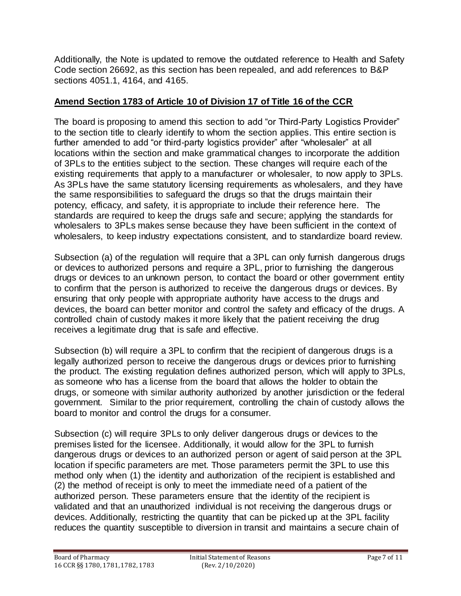Additionally, the Note is updated to remove the outdated reference to Health and Safety Code section 26692, as this section has been repealed, and add references to B&P sections 4051.1, 4164, and 4165.

#### **Amend Section 1783 of Article 10 of Division 17 of Title 16 of the CCR**

The board is proposing to amend this section to add "or Third-Party Logistics Provider" to the section title to clearly identify to whom the section applies. This entire section is further amended to add "or third-party logistics provider" after "wholesaler" at all locations within the section and make grammatical changes to incorporate the addition of 3PLs to the entities subject to the section. These changes will require each of the existing requirements that apply to a manufacturer or wholesaler, to now apply to 3PLs. As 3PLs have the same statutory licensing requirements as wholesalers, and they have the same responsibilities to safeguard the drugs so that the drugs maintain their potency, efficacy, and safety, it is appropriate to include their reference here. The standards are required to keep the drugs safe and secure; applying the standards for wholesalers to 3PLs makes sense because they have been sufficient in the context of wholesalers, to keep industry expectations consistent, and to standardize board review.

Subsection (a) of the regulation will require that a 3PL can only furnish dangerous drugs or devices to authorized persons and require a 3PL, prior to furnishing the dangerous drugs or devices to an unknown person, to contact the board or other government entity to confirm that the person is authorized to receive the dangerous drugs or devices. By ensuring that only people with appropriate authority have access to the drugs and devices, the board can better monitor and control the safety and efficacy of the drugs. A controlled chain of custody makes it more likely that the patient receiving the drug receives a legitimate drug that is safe and effective.

Subsection (b) will require a 3PL to confirm that the recipient of dangerous drugs is a legally authorized person to receive the dangerous drugs or devices prior to furnishing the product. The existing regulation defines authorized person, which will apply to 3PLs, as someone who has a license from the board that allows the holder to obtain the drugs, or someone with similar authority authorized by another jurisdiction or the federal government. Similar to the prior requirement, controlling the chain of custody allows the board to monitor and control the drugs for a consumer.

Subsection (c) will require 3PLs to only deliver dangerous drugs or devices to the premises listed for the licensee. Additionally, it would allow for the 3PL to furnish dangerous drugs or devices to an authorized person or agent of said person at the 3PL location if specific parameters are met. Those parameters permit the 3PL to use this method only when (1) the identity and authorization of the recipient is established and (2) the method of receipt is only to meet the immediate need of a patient of the authorized person. These parameters ensure that the identity of the recipient is validated and that an unauthorized individual is not receiving the dangerous drugs or devices. Additionally, restricting the quantity that can be picked up at the 3PL facility reduces the quantity susceptible to diversion in transit and maintains a secure chain of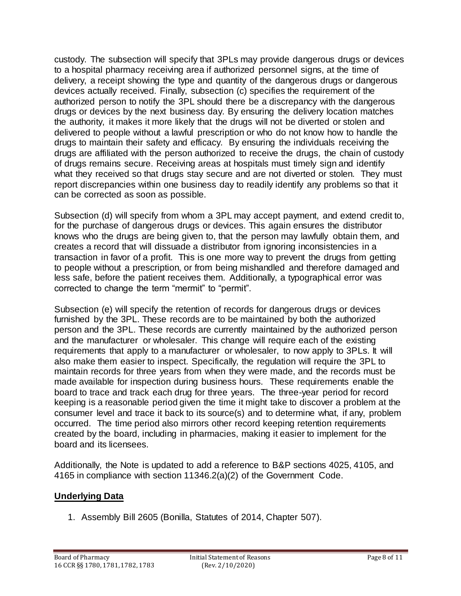custody. The subsection will specify that 3PLs may provide dangerous drugs or devices to a hospital pharmacy receiving area if authorized personnel signs, at the time of delivery, a receipt showing the type and quantity of the dangerous drugs or dangerous devices actually received. Finally, subsection (c) specifies the requirement of the authorized person to notify the 3PL should there be a discrepancy with the dangerous drugs or devices by the next business day. By ensuring the delivery location matches the authority, it makes it more likely that the drugs will not be diverted or stolen and delivered to people without a lawful prescription or who do not know how to handle the drugs to maintain their safety and efficacy. By ensuring the individuals receiving the drugs are affiliated with the person authorized to receive the drugs, the chain of custody of drugs remains secure. Receiving areas at hospitals must timely sign and identify what they received so that drugs stay secure and are not diverted or stolen. They must report discrepancies within one business day to readily identify any problems so that it can be corrected as soon as possible.

Subsection (d) will specify from whom a 3PL may accept payment, and extend credit to, for the purchase of dangerous drugs or devices. This again ensures the distributor knows who the drugs are being given to, that the person may lawfully obtain them, and creates a record that will dissuade a distributor from ignoring inconsistencies in a transaction in favor of a profit. This is one more way to prevent the drugs from getting to people without a prescription, or from being mishandled and therefore damaged and less safe, before the patient receives them. Additionally, a typographical error was corrected to change the term "mermit" to "permit".

Subsection (e) will specify the retention of records for dangerous drugs or devices furnished by the 3PL. These records are to be maintained by both the authorized person and the 3PL. These records are currently maintained by the authorized person and the manufacturer or wholesaler. This change will require each of the existing requirements that apply to a manufacturer or wholesaler, to now apply to 3PLs. It will also make them easier to inspect. Specifically, the regulation will require the 3PL to maintain records for three years from when they were made, and the records must be made available for inspection during business hours. These requirements enable the board to trace and track each drug for three years. The three-year period for record keeping is a reasonable period given the time it might take to discover a problem at the consumer level and trace it back to its source(s) and to determine what, if any, problem occurred. The time period also mirrors other record keeping retention requirements created by the board, including in pharmacies, making it easier to implement for the board and its licensees.

Additionally, the Note is updated to add a reference to B&P sections 4025, 4105, and 4165 in compliance with section 11346.2(a)(2) of the Government Code.

# **Underlying Data**

1. Assembly Bill 2605 (Bonilla, Statutes of 2014, Chapter 507).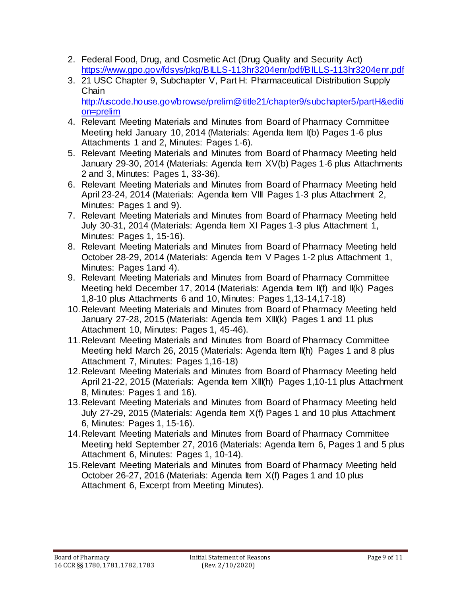- 2. Federal Food, Drug, and Cosmetic Act (Drug Quality and Security Act) <https://www.gpo.gov/fdsys/pkg/BILLS-113hr3204enr/pdf/BILLS-113hr3204enr.pdf>
- 3. 21 USC Chapter 9, Subchapter V, Part H: Pharmaceutical Distribution Supply **Chain** [http://uscode.house.gov/browse/prelim@title21/chapter9/subchapter5/partH&editi](http://uscode.house.gov/browse/prelim@title21/chapter9/subchapter5/partH&edition=prelim) [on=prelim](http://uscode.house.gov/browse/prelim@title21/chapter9/subchapter5/partH&edition=prelim)
- 4. Relevant Meeting Materials and Minutes from Board of Pharmacy Committee Meeting held January 10, 2014 (Materials: Agenda Item I(b) Pages 1-6 plus Attachments 1 and 2, Minutes: Pages 1-6).
- 5. Relevant Meeting Materials and Minutes from Board of Pharmacy Meeting held January 29-30, 2014 (Materials: Agenda Item XV(b) Pages 1-6 plus Attachments 2 and 3, Minutes: Pages 1, 33-36).
- 6. Relevant Meeting Materials and Minutes from Board of Pharmacy Meeting held April 23-24, 2014 (Materials: Agenda Item VIII Pages 1-3 plus Attachment 2, Minutes: Pages 1 and 9).
- 7. Relevant Meeting Materials and Minutes from Board of Pharmacy Meeting held July 30-31, 2014 (Materials: Agenda Item XI Pages 1-3 plus Attachment 1, Minutes: Pages 1, 15-16).
- 8. Relevant Meeting Materials and Minutes from Board of Pharmacy Meeting held October 28-29, 2014 (Materials: Agenda Item V Pages 1-2 plus Attachment 1, Minutes: Pages 1and 4).
- 9. Relevant Meeting Materials and Minutes from Board of Pharmacy Committee Meeting held December 17, 2014 (Materials: Agenda Item II(f) and II(k) Pages 1,8-10 plus Attachments 6 and 10, Minutes: Pages 1,13-14,17-18)
- 10.Relevant Meeting Materials and Minutes from Board of Pharmacy Meeting held January 27-28, 2015 (Materials: Agenda Item XIII(k) Pages 1 and 11 plus Attachment 10, Minutes: Pages 1, 45-46).
- 11.Relevant Meeting Materials and Minutes from Board of Pharmacy Committee Meeting held March 26, 2015 (Materials: Agenda Item II(h) Pages 1 and 8 plus Attachment 7, Minutes: Pages 1,16-18)
- 12.Relevant Meeting Materials and Minutes from Board of Pharmacy Meeting held April 21-22, 2015 (Materials: Agenda Item XIII(h) Pages 1,10-11 plus Attachment 8, Minutes: Pages 1 and 16).
- 13.Relevant Meeting Materials and Minutes from Board of Pharmacy Meeting held July 27-29, 2015 (Materials: Agenda Item X(f) Pages 1 and 10 plus Attachment 6, Minutes: Pages 1, 15-16).
- 14.Relevant Meeting Materials and Minutes from Board of Pharmacy Committee Meeting held September 27, 2016 (Materials: Agenda Item 6, Pages 1 and 5 plus Attachment 6, Minutes: Pages 1, 10-14).
- 15.Relevant Meeting Materials and Minutes from Board of Pharmacy Meeting held October 26-27, 2016 (Materials: Agenda Item X(f) Pages 1 and 10 plus Attachment 6, Excerpt from Meeting Minutes).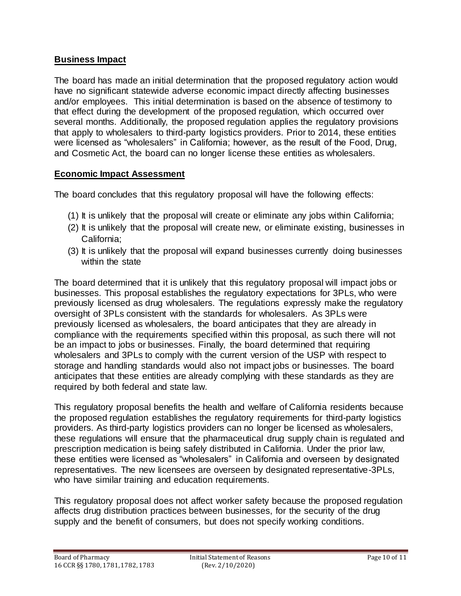#### **Business Impact**

The board has made an initial determination that the proposed regulatory action would have no significant statewide adverse economic impact directly affecting businesses and/or employees. This initial determination is based on the absence of testimony to that effect during the development of the proposed regulation, which occurred over several months. Additionally, the proposed regulation applies the regulatory provisions that apply to wholesalers to third-party logistics providers. Prior to 2014, these entities were licensed as "wholesalers" in California; however, as the result of the Food, Drug, and Cosmetic Act, the board can no longer license these entities as wholesalers.

#### **Economic Impact Assessment**

The board concludes that this regulatory proposal will have the following effects:

- (1) It is unlikely that the proposal will create or eliminate any jobs within California;
- (2) It is unlikely that the proposal will create new, or eliminate existing, businesses in California;
- (3) It is unlikely that the proposal will expand businesses currently doing businesses within the state

The board determined that it is unlikely that this regulatory proposal will impact jobs or businesses. This proposal establishes the regulatory expectations for 3PLs, who were previously licensed as drug wholesalers. The regulations expressly make the regulatory oversight of 3PLs consistent with the standards for wholesalers. As 3PLs were previously licensed as wholesalers, the board anticipates that they are already in compliance with the requirements specified within this proposal, as such there will not be an impact to jobs or businesses. Finally, the board determined that requiring wholesalers and 3PLs to comply with the current version of the USP with respect to storage and handling standards would also not impact jobs or businesses. The board anticipates that these entities are already complying with these standards as they are required by both federal and state law.

This regulatory proposal benefits the health and welfare of California residents because the proposed regulation establishes the regulatory requirements for third-party logistics providers. As third-party logistics providers can no longer be licensed as wholesalers, these regulations will ensure that the pharmaceutical drug supply chain is regulated and prescription medication is being safely distributed in California. Under the prior law, these entities were licensed as "wholesalers" in California and overseen by designated representatives. The new licensees are overseen by designated representative-3PLs, who have similar training and education requirements.

This regulatory proposal does not affect worker safety because the proposed regulation affects drug distribution practices between businesses, for the security of the drug supply and the benefit of consumers, but does not specify working conditions.